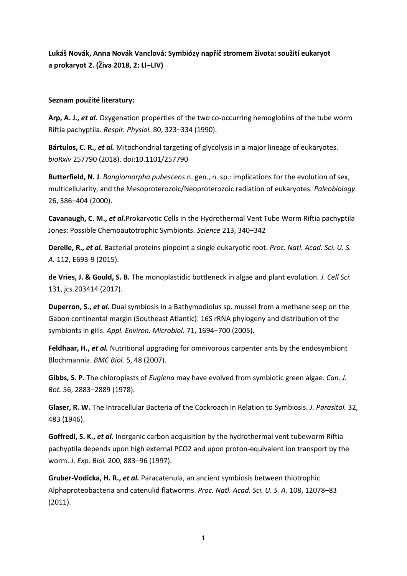**Lukáš Novák, Anna Novák Vanclová: Symbiózy napříč stromem života: soužití eukaryot a prokaryot 2. (Živa 2018, 2: LI‒LIV)**

## **Seznam použité literatury:**

**Arp, A. J.,** *et al.* Oxygenation properties of the two co-occurring hemoglobins of the tube worm Riftia pachyptila. *Respir. Physiol.* 80, 323–334 (1990).

**Bártulos, C. R.,** *et al.* Mitochondrial targeting of glycolysis in a major lineage of eukaryotes. *bioRxiv* 257790 (2018). doi:10.1101/257790

**Butterfield, N. J**. *Bangiomorpha pubescens* n. gen., n. sp.: implications for the evolution of sex, multicellularity, and the Mesoproterozoic/Neoproterozoic radiation of eukaryotes. *Paleobiology* 26, 386–404 (2000).

**Cavanaugh, C. M.,** *et al.*Prokaryotic Cells in the Hydrothermal Vent Tube Worm Riftia pachyptila Jones: Possible Chemoautotrophic Symbionts. *Science* 213, 340–342

**Derelle, R.,** *et al.* Bacterial proteins pinpoint a single eukaryotic root. *Proc. Natl. Acad. Sci. U. S. A.* 112, E693-9 (2015).

**de Vries, J. & Gould, S. B.** The monoplastidic bottleneck in algae and plant evolution. *J. Cell Sci.* 131, jcs.203414 (2017).

**Duperron, S.,** *et al.* Dual symbiosis in a Bathymodiolus sp. mussel from a methane seep on the Gabon continental margin (Southeast Atlantic): 16S rRNA phylogeny and distribution of the symbionts in gills. *Appl. Environ. Microbiol.* 71, 1694–700 (2005).

**Feldhaar, H.,** *et al.* Nutritional upgrading for omnivorous carpenter ants by the endosymbiont Blochmannia. *BMC Biol.* 5, 48 (2007).

**Gibbs, S. P.** The chloroplasts of *Euglena* may have evolved from symbiotic green algae. *Can. J. Bot.* 56, 2883–2889 (1978).

**Glaser, R. W.** The Intracellular Bacteria of the Cockroach in Relation to Symbiosis. *J. Parasitol.* 32, 483 (1946).

**Goffredi, S. K.,** *et al.* Inorganic carbon acquisition by the hydrothermal vent tubeworm Riftia pachyptila depends upon high external PCO2 and upon proton-equivalent ion transport by the worm. *J. Exp. Biol.* 200, 883–96 (1997).

**Gruber-Vodicka, H. R.,** *et al.* Paracatenula, an ancient symbiosis between thiotrophic Alphaproteobacteria and catenulid flatworms. *Proc. Natl. Acad. Sci. U. S. A.* 108, 12078–83 (2011).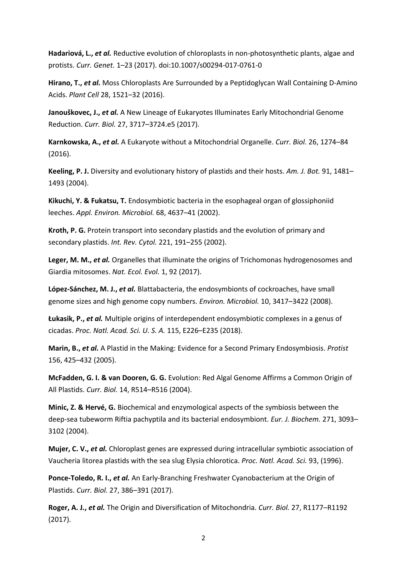**Hadariová, L.,** *et al.* Reductive evolution of chloroplasts in non-photosynthetic plants, algae and protists. *Curr. Genet.* 1–23 (2017). doi:10.1007/s00294-017-0761-0

**Hirano, T.,** *et al.* Moss Chloroplasts Are Surrounded by a Peptidoglycan Wall Containing D-Amino Acids. *Plant Cell* 28, 1521–32 (2016).

**Janouškovec, J.,** *et al.* A New Lineage of Eukaryotes Illuminates Early Mitochondrial Genome Reduction. *Curr. Biol.* 27, 3717–3724.e5 (2017).

**Karnkowska, A.,** *et al.* A Eukaryote without a Mitochondrial Organelle. *Curr. Biol.* 26, 1274–84 (2016).

**Keeling, P. J.** Diversity and evolutionary history of plastids and their hosts. *Am. J. Bot.* 91, 1481– 1493 (2004).

**Kikuchi, Y. & Fukatsu, T.** Endosymbiotic bacteria in the esophageal organ of glossiphoniid leeches. *Appl. Environ. Microbiol.* 68, 4637–41 (2002).

**Kroth, P. G.** Protein transport into secondary plastids and the evolution of primary and secondary plastids. *Int. Rev. Cytol.* 221, 191–255 (2002).

**Leger, M. M.,** *et al.* Organelles that illuminate the origins of Trichomonas hydrogenosomes and Giardia mitosomes. *Nat. Ecol. Evol.* 1, 92 (2017).

**López-Sánchez, M. J.,** *et al.* Blattabacteria, the endosymbionts of cockroaches, have small genome sizes and high genome copy numbers. *Environ. Microbiol.* 10, 3417–3422 (2008).

**Łukasik, P.,** *et al.* Multiple origins of interdependent endosymbiotic complexes in a genus of cicadas. *Proc. Natl. Acad. Sci. U. S. A.* 115, E226–E235 (2018).

**Marin, B.,** *et al.* A Plastid in the Making: Evidence for a Second Primary Endosymbiosis. *Protist* 156, 425–432 (2005).

**McFadden, G. I. & van Dooren, G. G.** Evolution: Red Algal Genome Affirms a Common Origin of All Plastids. *Curr. Biol.* 14, R514–R516 (2004).

**Minic, Z. & Hervé, G.** Biochemical and enzymological aspects of the symbiosis between the deep-sea tubeworm Riftia pachyptila and its bacterial endosymbiont. *Eur. J. Biochem.* 271, 3093– 3102 (2004).

**Mujer, C. V.,** *et al.* Chloroplast genes are expressed during intracellular symbiotic association of Vaucheria litorea plastids with the sea slug Elysia chlorotica. *Proc. Natl. Acad. Sci.* 93, (1996).

**Ponce-Toledo, R. I.,** *et al.* An Early-Branching Freshwater Cyanobacterium at the Origin of Plastids. *Curr. Biol.* 27, 386–391 (2017).

**Roger, A. J.,** *et al.* The Origin and Diversification of Mitochondria. *Curr. Biol.* 27, R1177–R1192 (2017).